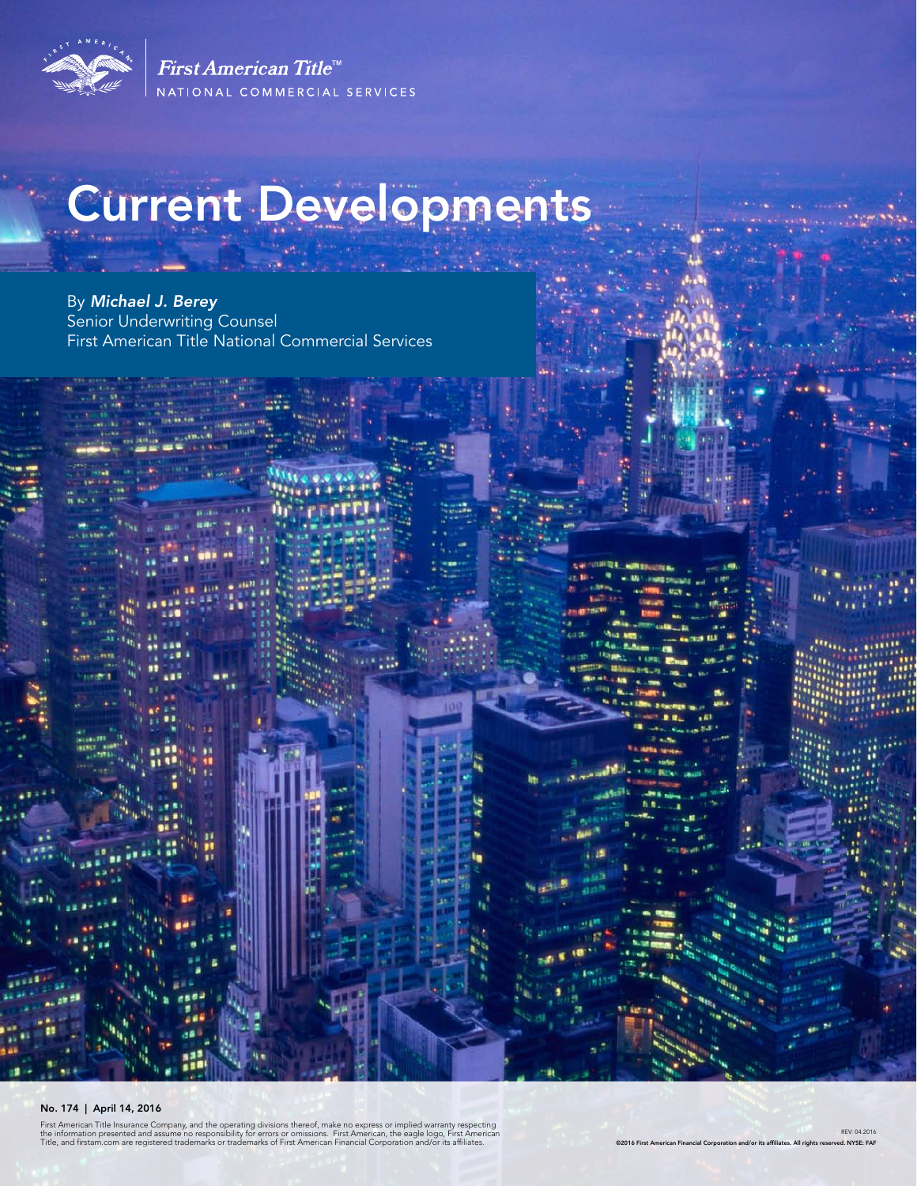

First American Title<sup>™</sup> NATIONAL COMMERCIAL SERVICES

# Current Developments

By *Michael J. Berey*  Senior Underwriting Counsel First American Title National Commercial Services

#### No. 174 | April 14, 2016

First American Title Insurance Company, and the operating divisions thereof, make no express or implied warranty respecting<br>the information presented and assume no responsibility for errors or omissions. First American, th

REV: 04.2016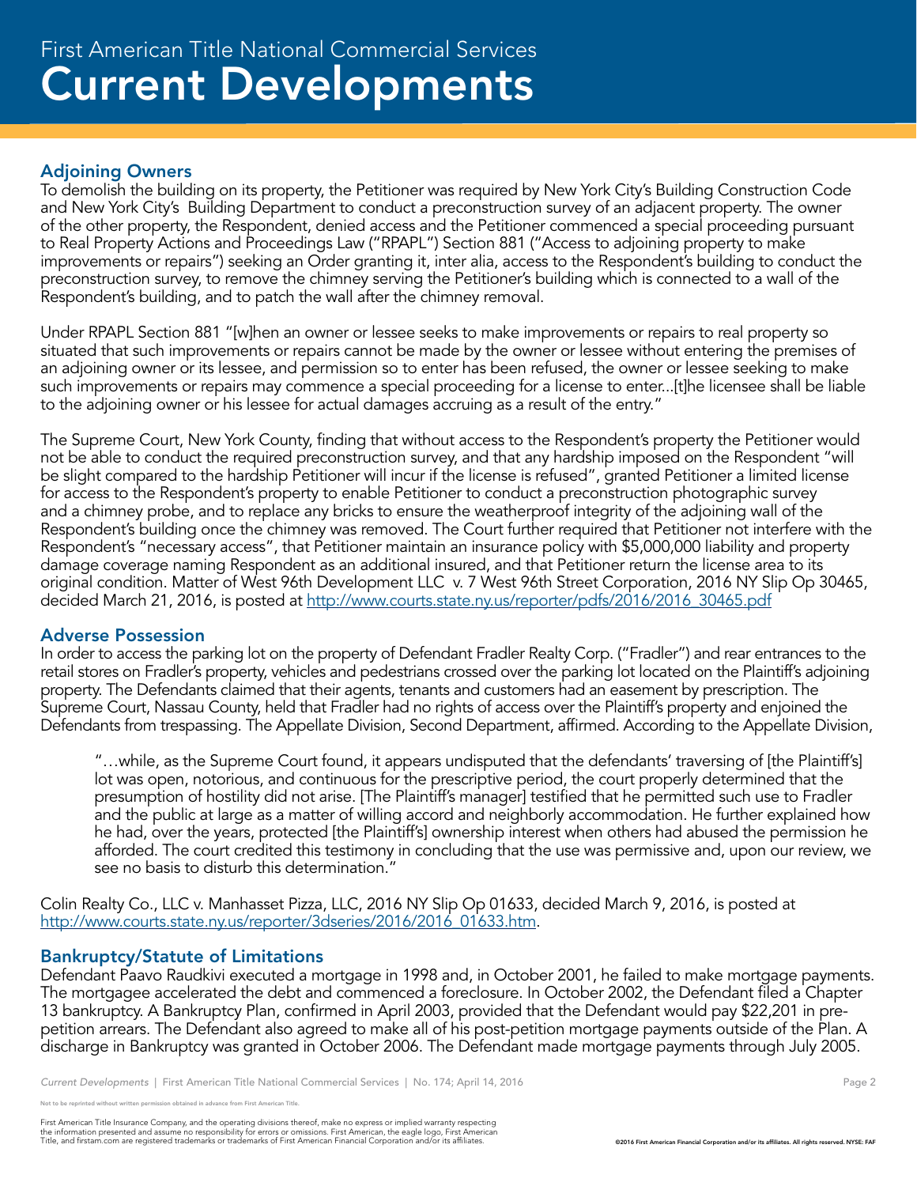## Adjoining Owners

To demolish the building on its property, the Petitioner was required by New York City's Building Construction Code and New York City's Building Department to conduct a preconstruction survey of an adjacent property. The owner of the other property, the Respondent, denied access and the Petitioner commenced a special proceeding pursuant to Real Property Actions and Proceedings Law ("RPAPL") Section 881 ("Access to adjoining property to make improvements or repairs") seeking an Order granting it, inter alia, access to the Respondent's building to conduct the preconstruction survey, to remove the chimney serving the Petitioner's building which is connected to a wall of the Respondent's building, and to patch the wall after the chimney removal.

Under RPAPL Section 881 "[w]hen an owner or lessee seeks to make improvements or repairs to real property so situated that such improvements or repairs cannot be made by the owner or lessee without entering the premises of an adjoining owner or its lessee, and permission so to enter has been refused, the owner or lessee seeking to make such improvements or repairs may commence a special proceeding for a license to enter...[t]he licensee shall be liable to the adjoining owner or his lessee for actual damages accruing as a result of the entry."

The Supreme Court, New York County, finding that without access to the Respondent's property the Petitioner would not be able to conduct the required preconstruction survey, and that any hardship imposed on the Respondent "will be slight compared to the hardship Petitioner will incur if the license is refused", granted Petitioner a limited license for access to the Respondent's property to enable Petitioner to conduct a preconstruction photographic survey and a chimney probe, and to replace any bricks to ensure the weatherproof integrity of the adjoining wall of the Respondent's building once the chimney was removed. The Court further required that Petitioner not interfere with the Respondent's "necessary access", that Petitioner maintain an insurance policy with \$5,000,000 liability and property damage coverage naming Respondent as an additional insured, and that Petitioner return the license area to its original condition. Matter of West 96th Development LLC v. 7 West 96th Street Corporation, 2016 NY Slip Op 30465, decided March 21, 2016, is posted at http://www.courts.state.ny.us/reporter/pdfs/2016/2016 30465.pdf

#### Adverse Possession

In order to access the parking lot on the property of Defendant Fradler Realty Corp. ("Fradler") and rear entrances to the retail stores on Fradler's property, vehicles and pedestrians crossed over the parking lot located on the Plaintiff's adjoining property. The Defendants claimed that their agents, tenants and customers had an easement by prescription. The Supreme Court, Nassau County, held that Fradler had no rights of access over the Plaintiff's property and enjoined the Defendants from trespassing. The Appellate Division, Second Department, affirmed. According to the Appellate Division,

"…while, as the Supreme Court found, it appears undisputed that the defendants' traversing of [the Plaintiff's] lot was open, notorious, and continuous for the prescriptive period, the court properly determined that the presumption of hostility did not arise. [The Plaintiff's manager] testified that he permitted such use to Fradler and the public at large as a matter of willing accord and neighborly accommodation. He further explained how he had, over the years, protected [the Plaintiff's] ownership interest when others had abused the permission he afforded. The court credited this testimony in concluding that the use was permissive and, upon our review, we see no basis to disturb this determination."

Colin Realty Co., LLC v. Manhasset Pizza, LLC, 2016 NY Slip Op 01633, decided March 9, 2016, is posted at http://www.courts.state.ny.us/reporter/3dseries/2016/2016\_01633.htm.

#### Bankruptcy/Statute of Limitations

Defendant Paavo Raudkivi executed a mortgage in 1998 and, in October 2001, he failed to make mortgage payments. The mortgagee accelerated the debt and commenced a foreclosure. In October 2002, the Defendant filed a Chapter 13 bankruptcy. A Bankruptcy Plan, confirmed in April 2003, provided that the Defendant would pay \$22,201 in prepetition arrears. The Defendant also agreed to make all of his post-petition mortgage payments outside of the Plan. A discharge in Bankruptcy was granted in October 2006. The Defendant made mortgage payments through July 2005.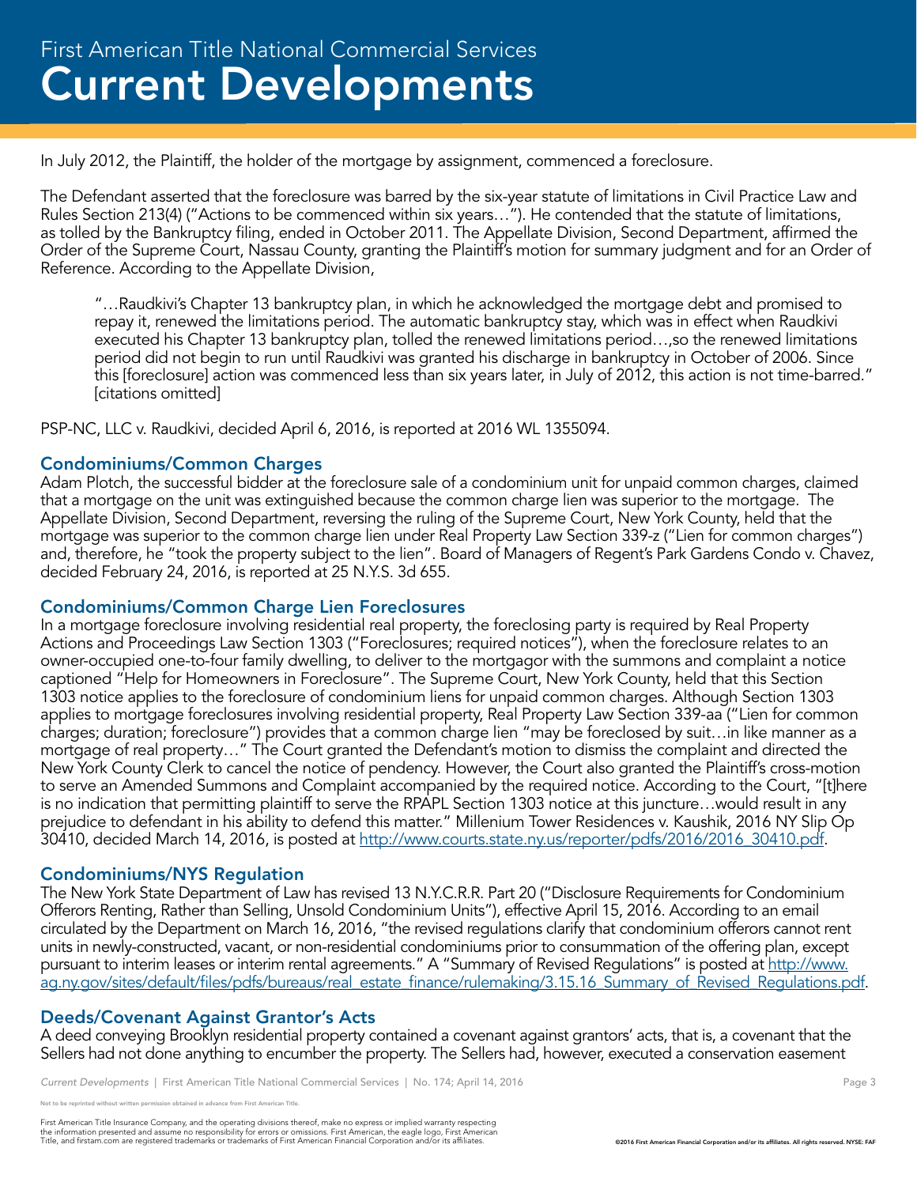In July 2012, the Plaintiff, the holder of the mortgage by assignment, commenced a foreclosure.

The Defendant asserted that the foreclosure was barred by the six-year statute of limitations in Civil Practice Law and Rules Section 213(4) ("Actions to be commenced within six years…"). He contended that the statute of limitations, as tolled by the Bankruptcy filing, ended in October 2011. The Appellate Division, Second Department, affirmed the Order of the Supreme Court, Nassau County, granting the Plaintiff's motion for summary judgment and for an Order of Reference. According to the Appellate Division,

"…Raudkivi's Chapter 13 bankruptcy plan, in which he acknowledged the mortgage debt and promised to repay it, renewed the limitations period. The automatic bankruptcy stay, which was in effect when Raudkivi executed his Chapter 13 bankruptcy plan, tolled the renewed limitations period…,so the renewed limitations period did not begin to run until Raudkivi was granted his discharge in bankruptcy in October of 2006. Since this [foreclosure] action was commenced less than six years later, in July of 2012, this action is not time-barred." [citations omitted]

PSP-NC, LLC v. Raudkivi, decided April 6, 2016, is reported at 2016 WL 1355094.

## Condominiums/Common Charges

Adam Plotch, the successful bidder at the foreclosure sale of a condominium unit for unpaid common charges, claimed that a mortgage on the unit was extinguished because the common charge lien was superior to the mortgage. The Appellate Division, Second Department, reversing the ruling of the Supreme Court, New York County, held that the mortgage was superior to the common charge lien under Real Property Law Section 339-z ("Lien for common charges") and, therefore, he "took the property subject to the lien". Board of Managers of Regent's Park Gardens Condo v. Chavez, decided February 24, 2016, is reported at 25 N.Y.S. 3d 655.

#### Condominiums/Common Charge Lien Foreclosures

In a mortgage foreclosure involving residential real property, the foreclosing party is required by Real Property Actions and Proceedings Law Section 1303 ("Foreclosures; required notices"), when the foreclosure relates to an owner-occupied one-to-four family dwelling, to deliver to the mortgagor with the summons and complaint a notice captioned "Help for Homeowners in Foreclosure". The Supreme Court, New York County, held that this Section 1303 notice applies to the foreclosure of condominium liens for unpaid common charges. Although Section 1303 applies to mortgage foreclosures involving residential property, Real Property Law Section 339-aa ("Lien for common charges; duration; foreclosure") provides that a common charge lien "may be foreclosed by suit…in like manner as a mortgage of real property…" The Court granted the Defendant's motion to dismiss the complaint and directed the New York County Clerk to cancel the notice of pendency. However, the Court also granted the Plaintiff's cross-motion to serve an Amended Summons and Complaint accompanied by the required notice. According to the Court, "[t]here is no indication that permitting plaintiff to serve the RPAPL Section 1303 notice at this juncture…would result in any prejudice to defendant in his ability to defend this matter." Millenium Tower Residences v. Kaushik, 2016 NY Slip Op 30410, decided March 14, 2016, is posted at http://www.courts.state.ny.us/reporter/pdfs/2016/2016 30410.pdf.

#### Condominiums/NYS Regulation

The New York State Department of Law has revised 13 N.Y.C.R.R. Part 20 ("Disclosure Requirements for Condominium Offerors Renting, Rather than Selling, Unsold Condominium Units"), effective April 15, 2016. According to an email circulated by the Department on March 16, 2016, "the revised regulations clarify that condominium offerors cannot rent units in newly-constructed, vacant, or non-residential condominiums prior to consummation of the offering plan, except pursuant to interim leases or interim rental agreements." A "Summary of Revised Regulations" is posted at http://www. ag.ny.gov/sites/default/files/pdfs/bureaus/real\_estate\_finance/rulemaking/3.15.16\_Summary\_of\_Revised\_Regulations.pdf.

#### Deeds/Covenant Against Grantor's Acts

A deed conveying Brooklyn residential property contained a covenant against grantors' acts, that is, a covenant that the Sellers had not done anything to encumber the property. The Sellers had, however, executed a conservation easement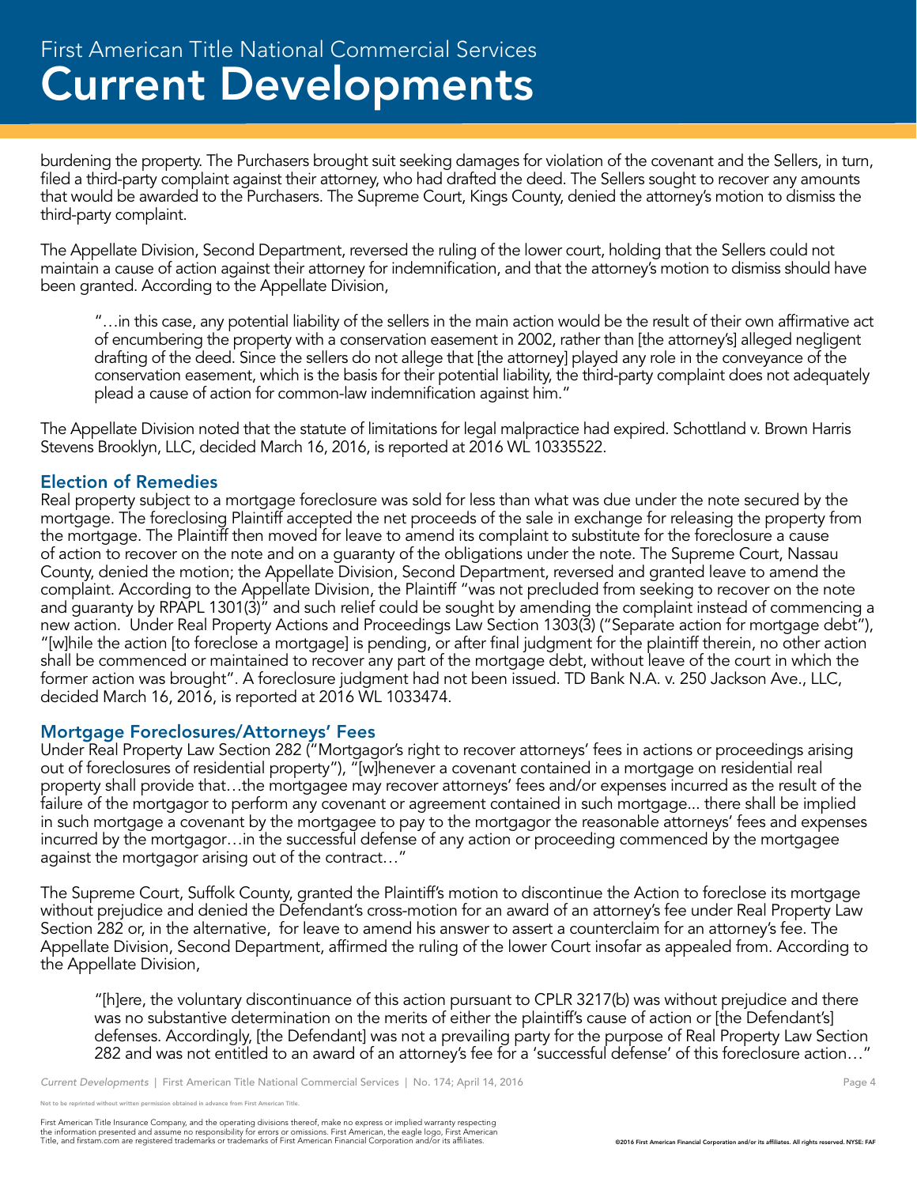burdening the property. The Purchasers brought suit seeking damages for violation of the covenant and the Sellers, in turn, filed a third-party complaint against their attorney, who had drafted the deed. The Sellers sought to recover any amounts that would be awarded to the Purchasers. The Supreme Court, Kings County, denied the attorney's motion to dismiss the third-party complaint.

The Appellate Division, Second Department, reversed the ruling of the lower court, holding that the Sellers could not maintain a cause of action against their attorney for indemnification, and that the attorney's motion to dismiss should have been granted. According to the Appellate Division,

"…in this case, any potential liability of the sellers in the main action would be the result of their own affirmative act of encumbering the property with a conservation easement in 2002, rather than [the attorney's] alleged negligent drafting of the deed. Since the sellers do not allege that [the attorney] played any role in the conveyance of the conservation easement, which is the basis for their potential liability, the third-party complaint does not adequately plead a cause of action for common-law indemnification against him."

The Appellate Division noted that the statute of limitations for legal malpractice had expired. Schottland v. Brown Harris Stevens Brooklyn, LLC, decided March 16, 2016, is reported at 2016 WL 10335522.

## Election of Remedies

Real property subject to a mortgage foreclosure was sold for less than what was due under the note secured by the mortgage. The foreclosing Plaintiff accepted the net proceeds of the sale in exchange for releasing the property from the mortgage. The Plaintiff then moved for leave to amend its complaint to substitute for the foreclosure a cause of action to recover on the note and on a guaranty of the obligations under the note. The Supreme Court, Nassau County, denied the motion; the Appellate Division, Second Department, reversed and granted leave to amend the complaint. According to the Appellate Division, the Plaintiff "was not precluded from seeking to recover on the note and guaranty by RPAPL 1301(3)" and such relief could be sought by amending the complaint instead of commencing a new action. Under Real Property Actions and Proceedings Law Section 1303(3) ("Separate action for mortgage debt"), "[w]hile the action [to foreclose a mortgage] is pending, or after final judgment for the plaintiff therein, no other action shall be commenced or maintained to recover any part of the mortgage debt, without leave of the court in which the former action was brought". A foreclosure judgment had not been issued. TD Bank N.A. v. 250 Jackson Ave., LLC, decided March 16, 2016, is reported at 2016 WL 1033474.

#### Mortgage Foreclosures/Attorneys' Fees

Under Real Property Law Section 282 ("Mortgagor's right to recover attorneys' fees in actions or proceedings arising out of foreclosures of residential property"), "[w]henever a covenant contained in a mortgage on residential real property shall provide that…the mortgagee may recover attorneys' fees and/or expenses incurred as the result of the failure of the mortgagor to perform any covenant or agreement contained in such mortgage... there shall be implied in such mortgage a covenant by the mortgagee to pay to the mortgagor the reasonable attorneys' fees and expenses incurred by the mortgagor…in the successful defense of any action or proceeding commenced by the mortgagee against the mortgagor arising out of the contract…"

The Supreme Court, Suffolk County, granted the Plaintiff's motion to discontinue the Action to foreclose its mortgage without prejudice and denied the Defendant's cross-motion for an award of an attorney's fee under Real Property Law Section 282 or, in the alternative, for leave to amend his answer to assert a counterclaim for an attorney's fee. The Appellate Division, Second Department, affirmed the ruling of the lower Court insofar as appealed from. According to the Appellate Division,

"[h]ere, the voluntary discontinuance of this action pursuant to CPLR 3217(b) was without prejudice and there was no substantive determination on the merits of either the plaintiff's cause of action or [the Defendant's] defenses. Accordingly, [the Defendant] was not a prevailing party for the purpose of Real Property Law Section 282 and was not entitled to an award of an attorney's fee for a 'successful defense' of this foreclosure action…"

reprinted without written permission obtained in advance from First American Title.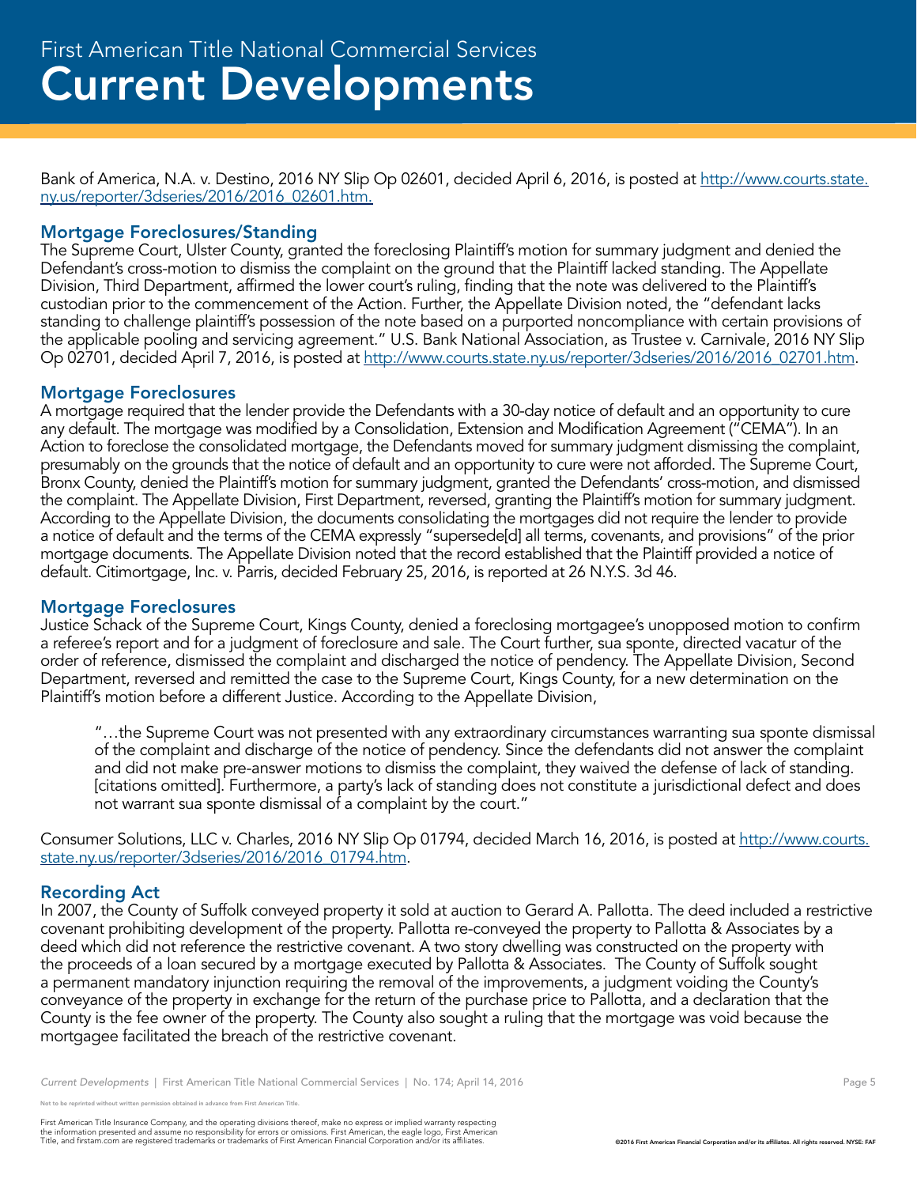Bank of America, N.A. v. Destino, 2016 NY Slip Op 02601, decided April 6, 2016, is posted at http://www.courts.state. ny.us/reporter/3dseries/2016/2016\_02601.htm.

#### Mortgage Foreclosures/Standing

The Supreme Court, Ulster County, granted the foreclosing Plaintiff's motion for summary judgment and denied the Defendant's cross-motion to dismiss the complaint on the ground that the Plaintiff lacked standing. The Appellate Division, Third Department, affirmed the lower court's ruling, finding that the note was delivered to the Plaintiff's custodian prior to the commencement of the Action. Further, the Appellate Division noted, the "defendant lacks standing to challenge plaintiff's possession of the note based on a purported noncompliance with certain provisions of the applicable pooling and servicing agreement." U.S. Bank National Association, as Trustee v. Carnivale, 2016 NY Slip Op 02701, decided April 7, 2016, is posted at http://www.courts.state.ny.us/reporter/3dseries/2016/2016\_02701.htm.

#### Mortgage Foreclosures

A mortgage required that the lender provide the Defendants with a 30-day notice of default and an opportunity to cure any default. The mortgage was modified by a Consolidation, Extension and Modification Agreement ("CEMA"). In an Action to foreclose the consolidated mortgage, the Defendants moved for summary judgment dismissing the complaint, presumably on the grounds that the notice of default and an opportunity to cure were not afforded. The Supreme Court, Bronx County, denied the Plaintiff's motion for summary judgment, granted the Defendants' cross-motion, and dismissed the complaint. The Appellate Division, First Department, reversed, granting the Plaintiff's motion for summary judgment. According to the Appellate Division, the documents consolidating the mortgages did not require the lender to provide a notice of default and the terms of the CEMA expressly "supersede[d] all terms, covenants, and provisions" of the prior mortgage documents. The Appellate Division noted that the record established that the Plaintiff provided a notice of default. Citimortgage, Inc. v. Parris, decided February 25, 2016, is reported at 26 N.Y.S. 3d 46.

#### Mortgage Foreclosures

Justice Schack of the Supreme Court, Kings County, denied a foreclosing mortgagee's unopposed motion to confirm a referee's report and for a judgment of foreclosure and sale. The Court further, sua sponte, directed vacatur of the order of reference, dismissed the complaint and discharged the notice of pendency. The Appellate Division, Second Department, reversed and remitted the case to the Supreme Court, Kings County, for a new determination on the Plaintiff's motion before a different Justice. According to the Appellate Division,

"…the Supreme Court was not presented with any extraordinary circumstances warranting sua sponte dismissal of the complaint and discharge of the notice of pendency. Since the defendants did not answer the complaint and did not make pre-answer motions to dismiss the complaint, they waived the defense of lack of standing. [citations omitted]. Furthermore, a party's lack of standing does not constitute a jurisdictional defect and does not warrant sua sponte dismissal of a complaint by the court."

Consumer Solutions, LLC v. Charles, 2016 NY Slip Op 01794, decided March 16, 2016, is posted at http://www.courts. state.ny.us/reporter/3dseries/2016/2016\_01794.htm.

#### Recording Act

In 2007, the County of Suffolk conveyed property it sold at auction to Gerard A. Pallotta. The deed included a restrictive covenant prohibiting development of the property. Pallotta re-conveyed the property to Pallotta & Associates by a deed which did not reference the restrictive covenant. A two story dwelling was constructed on the property with the proceeds of a loan secured by a mortgage executed by Pallotta & Associates. The County of Suffolk sought a permanent mandatory injunction requiring the removal of the improvements, a judgment voiding the County's conveyance of the property in exchange for the return of the purchase price to Pallotta, and a declaration that the County is the fee owner of the property. The County also sought a ruling that the mortgage was void because the mortgagee facilitated the breach of the restrictive covenant.

*Current Developments* | First American Title National Commercial Services | No. 174; April 14, 2016 **Page 5** Page 5

reprinted without written permission obtained in advance from First American Title.